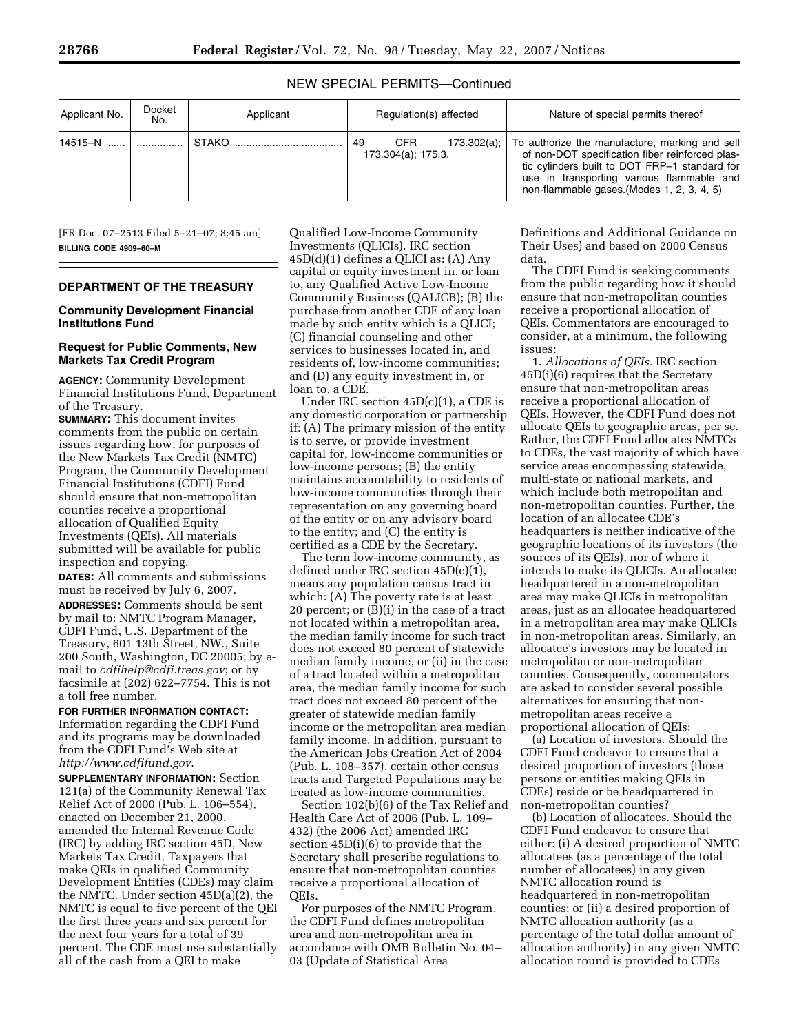# NEW SPECIAL PERMITS—Continued

| Applicant No. | Docket<br>No. | Applicant | Regulation(s) affected                                | Nature of special permits thereof                                                                                                                                                                                                             |
|---------------|---------------|-----------|-------------------------------------------------------|-----------------------------------------------------------------------------------------------------------------------------------------------------------------------------------------------------------------------------------------------|
| 14515-N       |               |           | <b>CFR</b><br>173.302(a);<br>49<br>173.304(a); 175.3. | To authorize the manufacture, marking and sell<br>of non-DOT specification fiber reinforced plas-<br>tic cylinders built to DOT FRP-1 standard for<br>use in transporting various flammable and<br>non-flammable gases. (Modes 1, 2, 3, 4, 5) |

[FR Doc. 07–2513 Filed 5–21–07; 8:45 am] **BILLING CODE 4909–60–M** 

# **DEPARTMENT OF THE TREASURY**

### **Community Development Financial Institutions Fund**

#### **Request for Public Comments, New Markets Tax Credit Program**

**AGENCY:** Community Development Financial Institutions Fund, Department of the Treasury.

**SUMMARY:** This document invites comments from the public on certain issues regarding how, for purposes of the New Markets Tax Credit (NMTC) Program, the Community Development Financial Institutions (CDFI) Fund should ensure that non-metropolitan counties receive a proportional allocation of Qualified Equity Investments (QEIs). All materials submitted will be available for public inspection and copying.

**DATES:** All comments and submissions must be received by July 6, 2007. **ADDRESSES:** Comments should be sent by mail to: NMTC Program Manager, CDFI Fund, U.S. Department of the Treasury, 601 13th Street, NW., Suite 200 South, Washington, DC 20005; by email to *cdfihelp@cdfi.treas.gov*; or by facsimile at (202) 622–7754. This is not a toll free number.

**FOR FURTHER INFORMATION CONTACT:**  Information regarding the CDFI Fund and its programs may be downloaded from the CDFI Fund's Web site at *http://www.cdfifund.gov*.

**SUPPLEMENTARY INFORMATION:** Section 121(a) of the Community Renewal Tax Relief Act of 2000 (Pub. L. 106–554), enacted on December 21, 2000, amended the Internal Revenue Code (IRC) by adding IRC section 45D, New Markets Tax Credit. Taxpayers that make QEIs in qualified Community Development Entities (CDEs) may claim the NMTC. Under section 45D(a)(2), the NMTC is equal to five percent of the QEI the first three years and six percent for the next four years for a total of 39 percent. The CDE must use substantially all of the cash from a QEI to make

Qualified Low-Income Community Investments (QLICIs). IRC section 45D(d)(1) defines a QLICI as: (A) Any capital or equity investment in, or loan to, any Qualified Active Low-Income Community Business (QALICB); (B) the purchase from another CDE of any loan made by such entity which is a QLICI; (C) financial counseling and other services to businesses located in, and residents of, low-income communities; and (D) any equity investment in, or loan to, a CDE.

Under IRC section 45D(c)(1), a CDE is any domestic corporation or partnership if: (A) The primary mission of the entity is to serve, or provide investment capital for, low-income communities or low-income persons; (B) the entity maintains accountability to residents of low-income communities through their representation on any governing board of the entity or on any advisory board to the entity; and (C) the entity is certified as a CDE by the Secretary.

The term low-income community, as defined under IRC section 45D(e)(1), means any population census tract in which: (A) The poverty rate is at least 20 percent; or  $(\overline{B})(i)$  in the case of a tract not located within a metropolitan area, the median family income for such tract does not exceed 80 percent of statewide median family income, or (ii) in the case of a tract located within a metropolitan area, the median family income for such tract does not exceed 80 percent of the greater of statewide median family income or the metropolitan area median family income. In addition, pursuant to the American Jobs Creation Act of 2004 (Pub. L. 108–357), certain other census tracts and Targeted Populations may be treated as low-income communities.

Section 102(b)(6) of the Tax Relief and Health Care Act of 2006 (Pub. L. 109– 432) (the 2006 Act) amended IRC section 45D(i)(6) to provide that the Secretary shall prescribe regulations to ensure that non-metropolitan counties receive a proportional allocation of QEIs.

For purposes of the NMTC Program, the CDFI Fund defines metropolitan area and non-metropolitan area in accordance with OMB Bulletin No. 04– 03 (Update of Statistical Area

Definitions and Additional Guidance on Their Uses) and based on 2000 Census data.

The CDFI Fund is seeking comments from the public regarding how it should ensure that non-metropolitan counties receive a proportional allocation of QEIs. Commentators are encouraged to consider, at a minimum, the following issues:

1. *Allocations of QEIs.* IRC section 45D(i)(6) requires that the Secretary ensure that non-metropolitan areas receive a proportional allocation of QEIs. However, the CDFI Fund does not allocate QEIs to geographic areas, per se. Rather, the CDFI Fund allocates NMTCs to CDEs, the vast majority of which have service areas encompassing statewide, multi-state or national markets, and which include both metropolitan and non-metropolitan counties. Further, the location of an allocatee CDE's headquarters is neither indicative of the geographic locations of its investors (the sources of its QEIs), nor of where it intends to make its QLICIs. An allocatee headquartered in a non-metropolitan area may make QLICIs in metropolitan areas, just as an allocatee headquartered in a metropolitan area may make QLICIs in non-metropolitan areas. Similarly, an allocatee's investors may be located in metropolitan or non-metropolitan counties. Consequently, commentators are asked to consider several possible alternatives for ensuring that nonmetropolitan areas receive a proportional allocation of QEIs:

(a) Location of investors. Should the CDFI Fund endeavor to ensure that a desired proportion of investors (those persons or entities making QEIs in CDEs) reside or be headquartered in non-metropolitan counties?

(b) Location of allocatees. Should the CDFI Fund endeavor to ensure that either: (i) A desired proportion of NMTC allocatees (as a percentage of the total number of allocatees) in any given NMTC allocation round is headquartered in non-metropolitan counties; or (ii) a desired proportion of NMTC allocation authority (as a percentage of the total dollar amount of allocation authority) in any given NMTC allocation round is provided to CDEs